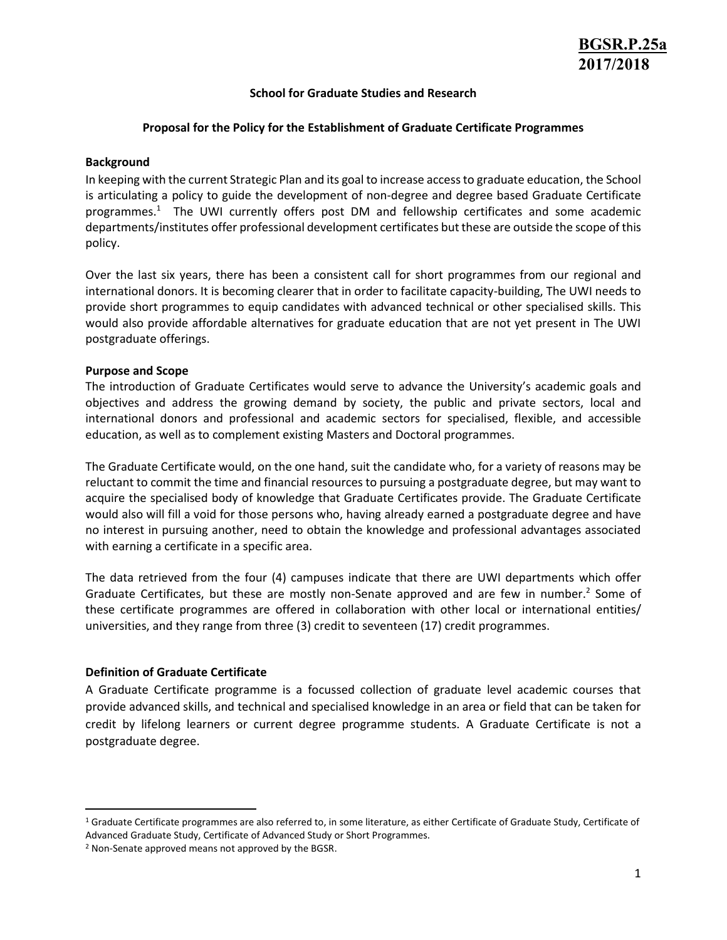#### **School for Graduate Studies and Research**

### **Proposal for the Policy for the Establishment of Graduate Certificate Programmes**

#### **Background**

In keeping with the current Strategic Plan and its goal to increase access to graduate education, the School is articulating a policy to guide the development of non-degree and degree based Graduate Certificate programmes.<sup>1</sup> The UWI currently offers post DM and fellowship certificates and some academic departments/institutes offer professional development certificates but these are outside the scope of this policy.

Over the last six years, there has been a consistent call for short programmes from our regional and international donors. It is becoming clearer that in order to facilitate capacity-building, The UWI needs to provide short programmes to equip candidates with advanced technical or other specialised skills. This would also provide affordable alternatives for graduate education that are not yet present in The UWI postgraduate offerings.

### **Purpose and Scope**

The introduction of Graduate Certificates would serve to advance the University's academic goals and objectives and address the growing demand by society, the public and private sectors, local and international donors and professional and academic sectors for specialised, flexible, and accessible education, as well as to complement existing Masters and Doctoral programmes.

The Graduate Certificate would, on the one hand, suit the candidate who, for a variety of reasons may be reluctant to commit the time and financial resources to pursuing a postgraduate degree, but may want to acquire the specialised body of knowledge that Graduate Certificates provide. The Graduate Certificate would also will fill a void for those persons who, having already earned a postgraduate degree and have no interest in pursuing another, need to obtain the knowledge and professional advantages associated with earning a certificate in a specific area.

The data retrieved from the four (4) campuses indicate that there are UWI departments which offer Graduate Certificates, but these are mostly non-Senate approved and are few in number.<sup>2</sup> Some of these certificate programmes are offered in collaboration with other local or international entities/ universities, and they range from three (3) credit to seventeen (17) credit programmes.

# **Definition of Graduate Certificate**

A Graduate Certificate programme is a focussed collection of graduate level academic courses that provide advanced skills, and technical and specialised knowledge in an area or field that can be taken for credit by lifelong learners or current degree programme students. A Graduate Certificate is not a postgraduate degree.

<sup>&</sup>lt;sup>1</sup> Graduate Certificate programmes are also referred to, in some literature, as either Certificate of Graduate Study, Certificate of Advanced Graduate Study, Certificate of Advanced Study or Short Programmes.

<sup>&</sup>lt;sup>2</sup> Non-Senate approved means not approved by the BGSR.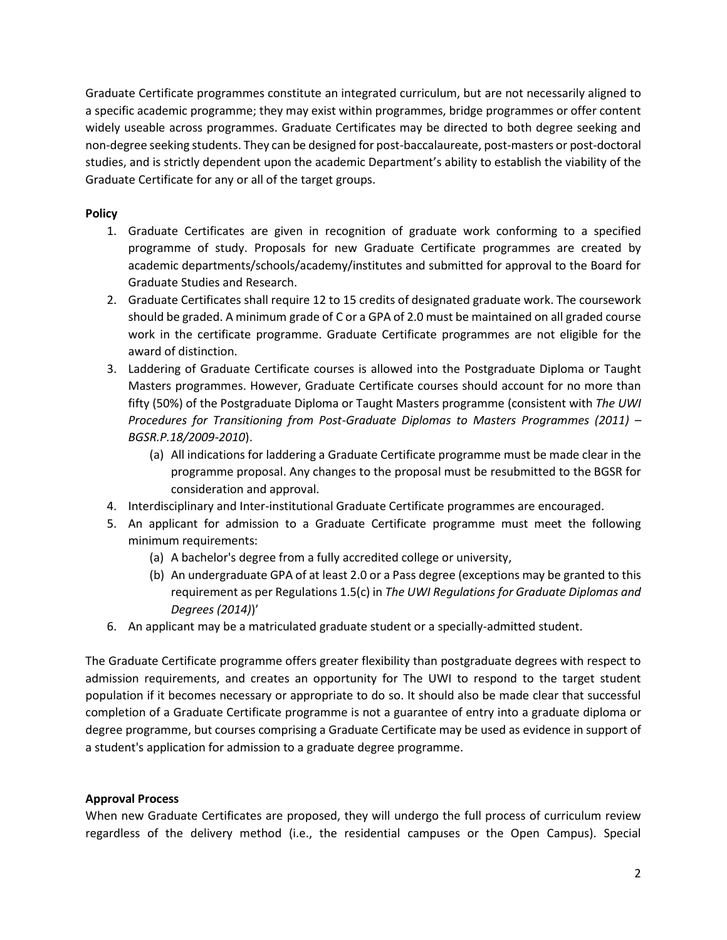Graduate Certificate programmes constitute an integrated curriculum, but are not necessarily aligned to a specific academic programme; they may exist within programmes, bridge programmes or offer content widely useable across programmes. Graduate Certificates may be directed to both degree seeking and non-degree seeking students. They can be designed for post-baccalaureate, post-masters or post-doctoral studies, and is strictly dependent upon the academic Department's ability to establish the viability of the Graduate Certificate for any or all of the target groups.

# **Policy**

- 1. Graduate Certificates are given in recognition of graduate work conforming to a specified programme of study. Proposals for new Graduate Certificate programmes are created by academic departments/schools/academy/institutes and submitted for approval to the Board for Graduate Studies and Research.
- 2. Graduate Certificates shall require 12 to 15 credits of designated graduate work. The coursework should be graded. A minimum grade of C or a GPA of 2.0 must be maintained on all graded course work in the certificate programme. Graduate Certificate programmes are not eligible for the award of distinction.
- 3. Laddering of Graduate Certificate courses is allowed into the Postgraduate Diploma or Taught Masters programmes. However, Graduate Certificate courses should account for no more than fifty (50%) of the Postgraduate Diploma or Taught Masters programme (consistent with *The UWI Procedures for Transitioning from Post-Graduate Diplomas to Masters Programmes (2011)* – *BGSR.P.18/2009-2010*).
	- (a) All indications for laddering a Graduate Certificate programme must be made clear in the programme proposal. Any changes to the proposal must be resubmitted to the BGSR for consideration and approval.
- 4. Interdisciplinary and Inter-institutional Graduate Certificate programmes are encouraged.
- 5. An applicant for admission to a Graduate Certificate programme must meet the following minimum requirements:
	- (a) A bachelor's degree from a fully accredited college or university,
	- (b) An undergraduate GPA of at least 2.0 or a Pass degree (exceptions may be granted to this requirement as per Regulations 1.5(c) in *The UWI Regulations for Graduate Diplomas and Degrees (2014)*)'
- 6. An applicant may be a matriculated graduate student or a specially-admitted student.

The Graduate Certificate programme offers greater flexibility than postgraduate degrees with respect to admission requirements, and creates an opportunity for The UWI to respond to the target student population if it becomes necessary or appropriate to do so. It should also be made clear that successful completion of a Graduate Certificate programme is not a guarantee of entry into a graduate diploma or degree programme, but courses comprising a Graduate Certificate may be used as evidence in support of a student's application for admission to a graduate degree programme.

# **Approval Process**

When new Graduate Certificates are proposed, they will undergo the full process of curriculum review regardless of the delivery method (i.e., the residential campuses or the Open Campus). Special